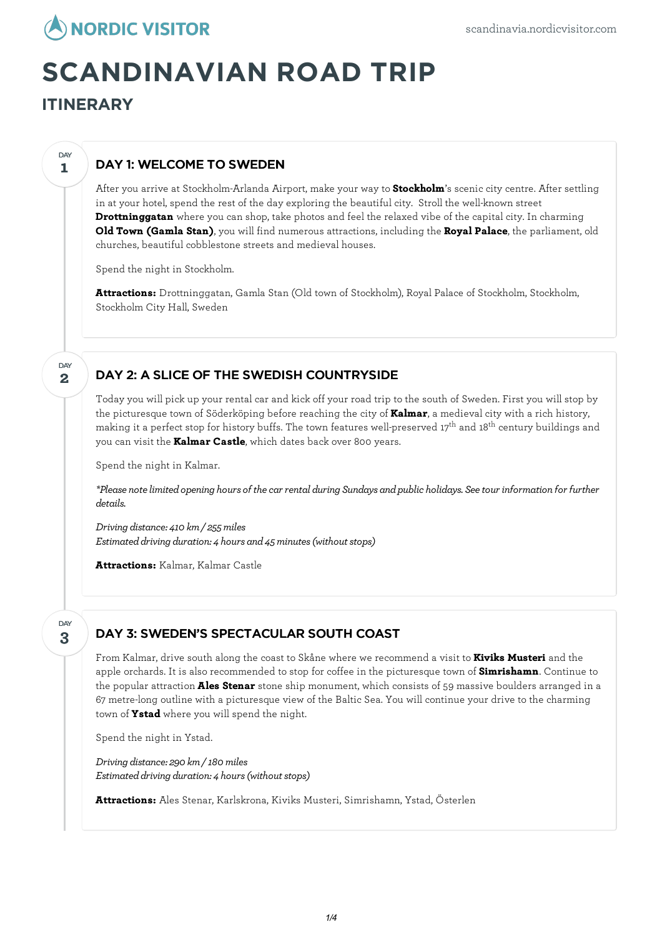

# **SCANDINAVIAN ROAD TRIP**

## **ITINERARY**

**1**

**DAY** 

## DAY 1: WELCOME TO SWEDEN

After you arrive at Stockholm-Arlanda Airport, make your way to **Stockholm**'s scenic city centre. After settling in at your hotel, spend the rest of the day exploring the beautiful city. Stroll the well-known street **Drottninggatan** where you can shop, take photos and feel the relaxed vibe of the capital city. In charming **Old Town (Gamla Stan)**, you will find numerous attractions, including the **Royal Palace**, the parliament, old churches, beautiful cobblestone streets and medieval houses.

Spend the night in Stockholm.

**Attractions:** Drottninggatan, Gamla Stan (Old town of Stockholm), Royal Palace of Stockholm, Stockholm, Stockholm City Hall, Sweden

#### **2** DAY

#### DAY 2: A SLICE OF THE SWEDISH COUNTRYSIDE

Today you will pick up your rental car and kick off your road trip to the south of Sweden. First you will stop by the picturesque town of Söderköping before reaching the city of **Kalmar**, a medieval city with a rich history, making it a perfect stop for history buffs. The town features well-preserved 17<sup>th</sup> and 18<sup>th</sup> century buildings and you can visit the **Kalmar Castle**, which dates back over 800 years.

Spend the night in Kalmar.

*\*Please notelimitedopening hours of thecar rental during Sundays andpublic holidays. Seetour information for further details.*

*Driving distance: 410 km/ 255miles Estimated driving duration: 4 hours and 45 minutes (without stops)* 

**Attractions:** Kalmar, Kalmar Castle

#### **3** DAY

### DAY 3: SWEDEN'S SPECTACULAR SOUTH COAST

From Kalmar, drive south along the coast to Skåne where we recommend a visit to **Kiviks Musteri** and the apple orchards. It is also recommended to stop for coffee in the picturesque town of **Simrishamn**. Continue to the popular attraction **Ales Stenar** stone ship monument, which consists of 59 massive boulders arranged in a 67 metre-long outline with a picturesque view of the Baltic Sea. You will continue your drive to the charming town of **Ystad** where you will spend the night.

Spend the night in Ystad.

*Driving distance: 290 km/ 180miles Estimated driving duration: 4 hours (without stops)* 

**Attractions:** Ales Stenar, Karlskrona, Kiviks Musteri, Simrishamn, Ystad, Österlen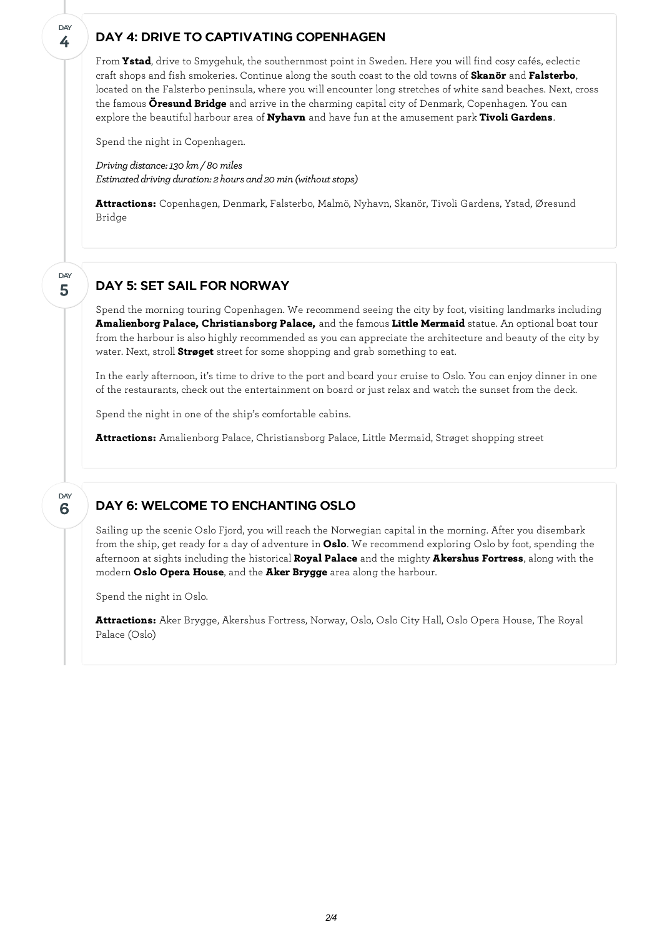#### DAY 4: DRIVE TO CAPTIVATING COPENHAGEN

From **Ystad**, drive to Smygehuk, the southernmost point in Sweden. Here you will find cosy cafés, eclectic craft shops and fish smokeries. Continue along the south coast to the old towns of **Skanör** and **Falsterbo**, located on the Falsterbo peninsula, where you willencounter long stretches of white sand beaches. Next, cross the famous **Öresund Bridge** and arrive in the charming capital city of Denmark, Copenhagen. You can explore the beautiful harbour area of **Nyhavn** and have fun at the amusement park **Tivoli Gardens**.

Spend the night in Copenhagen.

**4**

**DAY** 

**5**

DAY

**6**

DAY

*Driving distance:130 km/ 80miles Estimated driving duration: 2 hours and 20 min (without stops)* 

**Attractions:** Copenhagen, Denmark, Falsterbo, Malmö, Nyhavn, Skanör, Tivoli Gardens, Ystad, Øresund Bridge

### DAY 5: SET SAIL FOR NORWAY

Spend the morning touring Copenhagen. We recommend seeing the city by foot, visiting landmarks including **Amalienborg Palace, Christiansborg Palace,** and the famous **Little Mermaid** statue. An optional boat tour from the harbour is also highly recommended as you can appreciate the architecture and beauty of the city by water. Next, stroll **Strøget** street for some shopping and grab something to eat.

In the early afternoon, it's time to drive to the port and board your cruise to Oslo. You can enjoy dinner in one of the restaurants, check out the entertainment on board or just relax and watch the sunset from the deck.

Spend the night in one of the ship's comfortable cabins.

**Attractions:** Amalienborg Palace, Christiansborg Palace, Little Mermaid, Strøget shopping street

### DAY 6: WELCOME TO ENCHANTING OSLO

Sailing up the scenic Oslo Fjord, you will reach the Norwegian capital in the morning. After you disembark from the ship, get ready for a day of adventure in **Oslo**. We recommend exploring Oslo by foot, spending the afternoon at sights including the historical **Royal Palace** and the mighty **Akershus Fortress**, along with the modern **Oslo Opera House**, and the **Aker Brygge** area along the harbour.

Spend the night in Oslo.

**Attractions:** Aker Brygge, Akershus Fortress, Norway, Oslo, Oslo City Hall, Oslo Opera House, The Royal Palace (Oslo)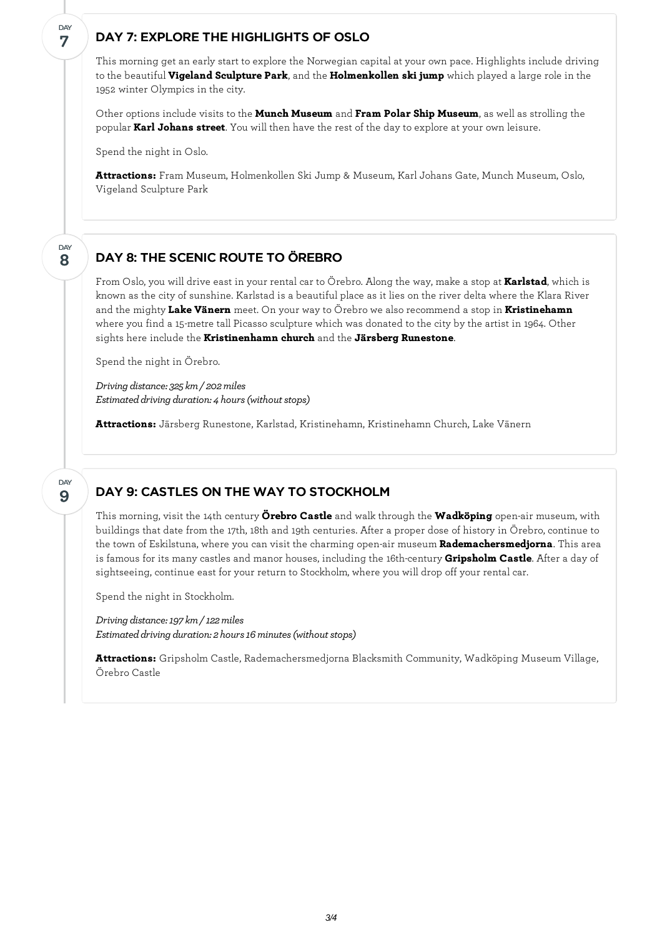#### DAY 7: EXPLORE THE HIGHLIGHTS OF OSLO

This morning get an early start to explore the Norwegian capital at your own pace. Highlights include driving to the beautiful **Vigeland Sculpture Park**, and the **Holmenkollen ski jump** which played a large role in the 1952 winter Olympics in the city.

Other options include visits to the **Munch Museum** and **Fram Polar Ship Museum**, as well as strolling the popular **Karl Johans street**. You will then have the rest of the day to explore at your own leisure.

Spend the night in Oslo.

**7**

DAY

**8**

DAY

**9**

DAY

**Attractions:** Fram Museum, Holmenkollen Ski Jump & Museum, Karl Johans Gate, Munch Museum, Oslo, Vigeland Sculpture Park

#### DAY 8: THE SCENIC ROUTE TO ÖREBRO

From Oslo, you will drive east in your rental car to Örebro. Along the way, make a stop at **Karlstad**, which is known as the city of sunshine. Karlstad is a beautiful place as it lies on the river delta where the Klara River and the mighty **Lake Vänern** meet. On your way to Örebro we also recommend a stop in **Kristinehamn** where you find a 15-metre tall Picasso sculpture which was donated to the city by the artist in 1964. Other sights here include the **Kristinenhamn church** and the **Järsberg Runestone**.

Spend the night in Örebro.

*Driving distance: 325 km/ 202miles Estimated driving duration: 4 hours (without stops)* 

**Attractions:** Järsberg Runestone, Karlstad, Kristinehamn, Kristinehamn Church, Lake Vänern

#### DAY 9: CASTLES ON THE WAY TO STOCKHOLM

This morning, visit the 14th century **Örebro Castle** and walk through the **Wadköping** open-air museum, with buildings that date from the 17th, 18th and 19th centuries. After a proper dose of history in Örebro, continue to the town of Eskilstuna, where you can visit the charming open-air museum **Rademachersmedjorna**. This area is famous for its many castles and manor houses, including the 16th-century **Gripsholm Castle**. After a day of sightseeing, continue east for your return to Stockholm, where you will drop off your rental car.

Spend the night in Stockholm.

*Driving distance:197 km/ 122miles Estimateddriving duration: 2 hours16minutes(withoutstops)*

**Attractions:** Gripsholm Castle, Rademachersmedjorna Blacksmith Community, Wadköping Museum Village, Örebro Castle